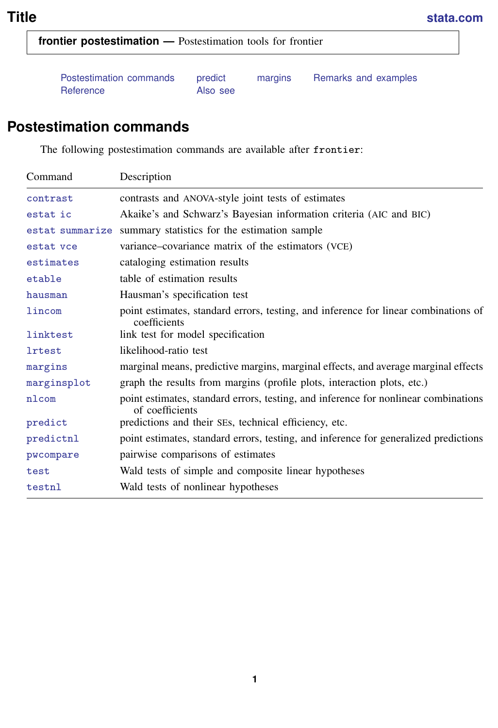<span id="page-0-1"></span>**frontier postestimation —** Postestimation tools for frontier

[Postestimation commands](#page-0-0) [predict](#page-1-0) [margins](#page-2-0) [Remarks and examples](#page-2-1) [Reference](#page-4-0) [Also see](#page-4-1)

# <span id="page-0-0"></span>**Postestimation commands**

The following postestimation commands are available after frontier:

| Command         | Description                                                                                            |  |  |  |  |
|-----------------|--------------------------------------------------------------------------------------------------------|--|--|--|--|
| contrast        | contrasts and ANOVA-style joint tests of estimates                                                     |  |  |  |  |
| estat ic        | Akaike's and Schwarz's Bayesian information criteria (AIC and BIC)                                     |  |  |  |  |
| estat summarize | summary statistics for the estimation sample                                                           |  |  |  |  |
| estat vce       | variance-covariance matrix of the estimators (VCE)                                                     |  |  |  |  |
| estimates       | cataloging estimation results                                                                          |  |  |  |  |
| etable          | table of estimation results                                                                            |  |  |  |  |
| hausman         | Hausman's specification test                                                                           |  |  |  |  |
| lincom          | point estimates, standard errors, testing, and inference for linear combinations of<br>coefficients    |  |  |  |  |
| linktest        | link test for model specification                                                                      |  |  |  |  |
| <b>lrtest</b>   | likelihood-ratio test                                                                                  |  |  |  |  |
| margins         | marginal means, predictive margins, marginal effects, and average marginal effects                     |  |  |  |  |
| marginsplot     | graph the results from margins (profile plots, interaction plots, etc.)                                |  |  |  |  |
| nlcom           | point estimates, standard errors, testing, and inference for nonlinear combinations<br>of coefficients |  |  |  |  |
| predict         | predictions and their SEs, technical efficiency, etc.                                                  |  |  |  |  |
| predictnl       | point estimates, standard errors, testing, and inference for generalized predictions                   |  |  |  |  |
| pwcompare       | pairwise comparisons of estimates                                                                      |  |  |  |  |
| test            | Wald tests of simple and composite linear hypotheses                                                   |  |  |  |  |
| testnl          | Wald tests of nonlinear hypotheses                                                                     |  |  |  |  |
|                 |                                                                                                        |  |  |  |  |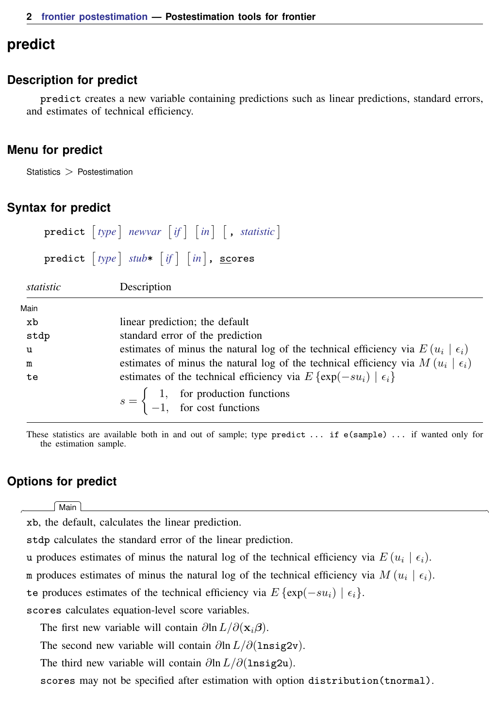# <span id="page-1-0"></span>**predict**

## **Description for predict**

predict creates a new variable containing predictions such as linear predictions, standard errors, and estimates of technical efficiency.

## **Menu for predict**

Statistics > Postestimation

## **Syntax for predict**

```
\text{predict} type \rceil newvar} if \rceil in \rceil , statistic \lceiltypeifin} \ \big] \, , \ \texttt{scores}statistic Description
Main
 xb linear prediction; the default
 stdp standard error of the prediction
 u estimates of minus the natural log of the technical efficiency via E(u_i \mid \epsilon_i)m estimates of minus the natural log of the technical efficiency via M(u_i \mid \epsilon_i)te estimates of the technical efficiency via E \{ \exp(-su_i) | \epsilon_i \}
```
 $s = \begin{cases} 1, & \text{for production functions} \\ 1, & \text{for each functions} \end{cases}$ −1, for cost functions

These statistics are available both in and out of sample; type predict ... if e(sample) ... if wanted only for the estimation sample.

## **Options for predict**

[Main]  $M$ ain  $\overline{\phantom{a}}$ 

 $\overline{a}$ 

xb, the default, calculates the linear prediction.

stdp calculates the standard error of the linear prediction.

u produces estimates of minus the natural log of the technical efficiency via  $E(u_i \mid \epsilon_i)$ .

m produces estimates of minus the natural log of the technical efficiency via  $M(u_i \mid \epsilon_i)$ .

te produces estimates of the technical efficiency via  $E \{ \exp(-su_i) | \epsilon_i \}.$ 

scores calculates equation-level score variables.

The first new variable will contain  $\partial \ln L/\partial(\mathbf{x},\boldsymbol{\beta})$ .

The second new variable will contain  $\partial \ln L / \partial (\text{lnsig2v})$ .

The third new variable will contain  $\partial \ln L / \partial (\text{lnsig2u})$ .

scores may not be specified after estimation with option distribution(tnormal).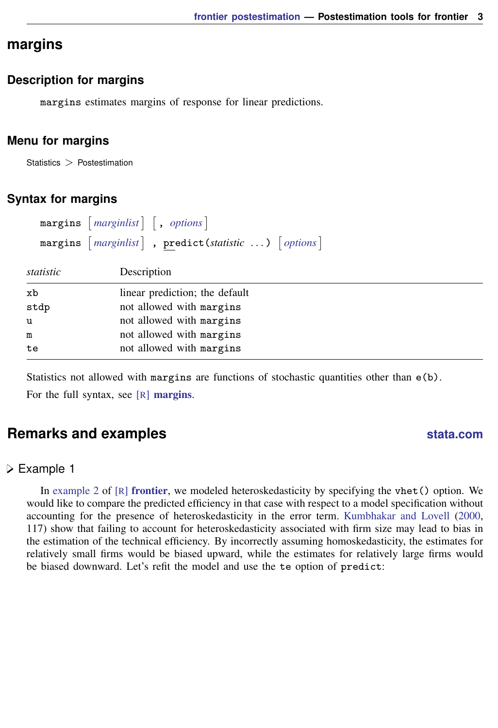# <span id="page-2-0"></span>**margins**

#### **Description for margins**

margins estimates margins of response for linear predictions.

#### **Menu for margins**

Statistics  $>$  Postestimation

### **Syntax for margins**

|           | margins $\lceil$ marginlist $\rceil$ , options $\rceil$                                                            |  |  |  |
|-----------|--------------------------------------------------------------------------------------------------------------------|--|--|--|
|           | margins $\lceil$ <i>marginlist</i> $\rceil$ , <b>predict</b> ( <i>statistic</i> ) $\lceil$ <i>options</i> $\rceil$ |  |  |  |
| statistic | Description                                                                                                        |  |  |  |
| xb        | linear prediction; the default                                                                                     |  |  |  |
| stdp      | not allowed with margins                                                                                           |  |  |  |
| u         | not allowed with margins                                                                                           |  |  |  |
| m         | not allowed with margins                                                                                           |  |  |  |
| te        | not allowed with margins                                                                                           |  |  |  |
|           |                                                                                                                    |  |  |  |

<span id="page-2-1"></span>Statistics not allowed with margins are functions of stochastic quantities other than  $e(b)$ . For the full syntax, see  $[R]$  [margins](https://www.stata.com/manuals/rmargins.pdf#rmargins).

# **Remarks and examples [stata.com](http://stata.com)**

## Example 1

In [example 2](https://www.stata.com/manuals/rfrontier.pdf#rfrontierRemarksandexamplesex2) of  $[R]$  [frontier](https://www.stata.com/manuals/rfrontier.pdf#rfrontier), we modeled heteroskedasticity by specifying the vhet() option. We would like to compare the predicted efficiency in that case with respect to a model specification without accounting for the presence of heteroskedasticity in the error term. [Kumbhakar and Lovell](#page-4-2) ([2000,](#page-4-2) 117) show that failing to account for heteroskedasticity associated with firm size may lead to bias in the estimation of the technical efficiency. By incorrectly assuming homoskedasticity, the estimates for relatively small firms would be biased upward, while the estimates for relatively large firms would be biased downward. Let's refit the model and use the te option of predict: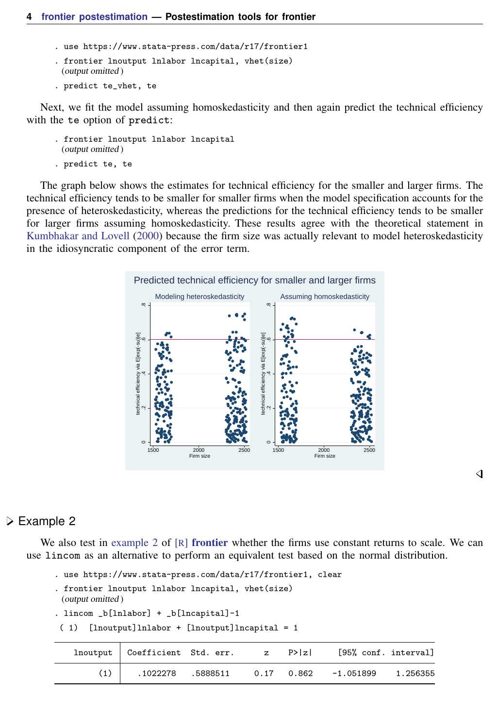- . use https://www.stata-press.com/data/r17/frontier1
- . frontier lnoutput lnlabor lncapital, vhet(size) (output omitted )
- . predict te vhet, te

Next, we fit the model assuming homoskedasticity and then again predict the technical efficiency with the te option of predict:

- . frontier lnoutput lnlabor lncapital (output omitted )
- . predict te, te

The graph below shows the estimates for technical efficiency for the smaller and larger firms. The technical efficiency tends to be smaller for smaller firms when the model specification accounts for the presence of heteroskedasticity, whereas the predictions for the technical efficiency tends to be smaller for larger firms assuming homoskedasticity. These results agree with the theoretical statement in [Kumbhakar and Lovell](#page-4-2) ([2000\)](#page-4-2) because the firm size was actually relevant to model heteroskedasticity in the idiosyncratic component of the error term.



## ◁

### **▷ Example 2**

We also test in [example 2](https://www.stata.com/manuals/rfrontier.pdf#rfrontierRemarksandexamplesex2) of  $[R]$  [frontier](https://www.stata.com/manuals/rfrontier.pdf#rfrontier) whether the firms use constant returns to scale. We can use lincom as an alternative to perform an equivalent test based on the normal distribution.

```
. use https://www.stata-press.com/data/r17/frontier1, clear
. frontier lnoutput lnlabor lncapital, vhet(size)
 (output omitted )
. lincom _b[lnlabor] + _b[lncapital]-1
```

```
( 1) [lnoutput]lnlabor + [lnoutput]lncapital = 1
```

| $Inoutput$ Coefficient Std. err. $z$ P> z |  | [95% conf. interval] |  |
|-------------------------------------------|--|----------------------|--|
|                                           |  |                      |  |